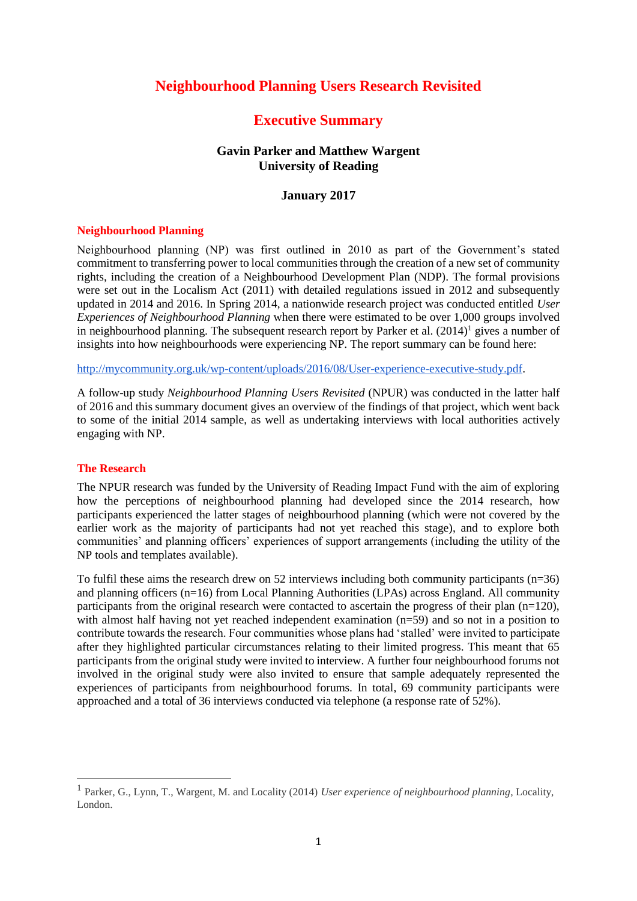# **Neighbourhood Planning Users Research Revisited**

# **Executive Summary**

## **Gavin Parker and Matthew Wargent University of Reading**

### **January 2017**

#### **Neighbourhood Planning**

Neighbourhood planning (NP) was first outlined in 2010 as part of the Government's stated commitment to transferring power to local communities through the creation of a new set of community rights, including the creation of a Neighbourhood Development Plan (NDP). The formal provisions were set out in the Localism Act (2011) with detailed regulations issued in 2012 and subsequently updated in 2014 and 2016. In Spring 2014, a nationwide research project was conducted entitled *User Experiences of Neighbourhood Planning* when there were estimated to be over 1,000 groups involved in neighbourhood planning. The subsequent research report by Parker et al.  $(2014)^1$  gives a number of insights into how neighbourhoods were experiencing NP. The report summary can be found here:

[http://mycommunity.org.uk/wp-content/uploads/2016/08/User-experience-executive-study.pdf.](http://mycommunity.org.uk/wp-content/uploads/2016/08/User-experience-executive-study.pdf)

A follow-up study *Neighbourhood Planning Users Revisited* (NPUR) was conducted in the latter half of 2016 and this summary document gives an overview of the findings of that project, which went back to some of the initial 2014 sample, as well as undertaking interviews with local authorities actively engaging with NP.

### **The Research**

1

The NPUR research was funded by the University of Reading Impact Fund with the aim of exploring how the perceptions of neighbourhood planning had developed since the 2014 research, how participants experienced the latter stages of neighbourhood planning (which were not covered by the earlier work as the majority of participants had not yet reached this stage), and to explore both communities' and planning officers' experiences of support arrangements (including the utility of the NP tools and templates available).

To fulfil these aims the research drew on 52 interviews including both community participants ( $n=36$ ) and planning officers (n=16) from Local Planning Authorities (LPAs) across England. All community participants from the original research were contacted to ascertain the progress of their plan  $(n=120)$ , with almost half having not yet reached independent examination (n=59) and so not in a position to contribute towards the research. Four communities whose plans had 'stalled' were invited to participate after they highlighted particular circumstances relating to their limited progress. This meant that 65 participants from the original study were invited to interview. A further four neighbourhood forums not involved in the original study were also invited to ensure that sample adequately represented the experiences of participants from neighbourhood forums. In total, 69 community participants were approached and a total of 36 interviews conducted via telephone (a response rate of 52%).

<sup>1</sup> Parker, G., Lynn, T., Wargent, M. and Locality (2014) *User experience of neighbourhood planning*, Locality, London.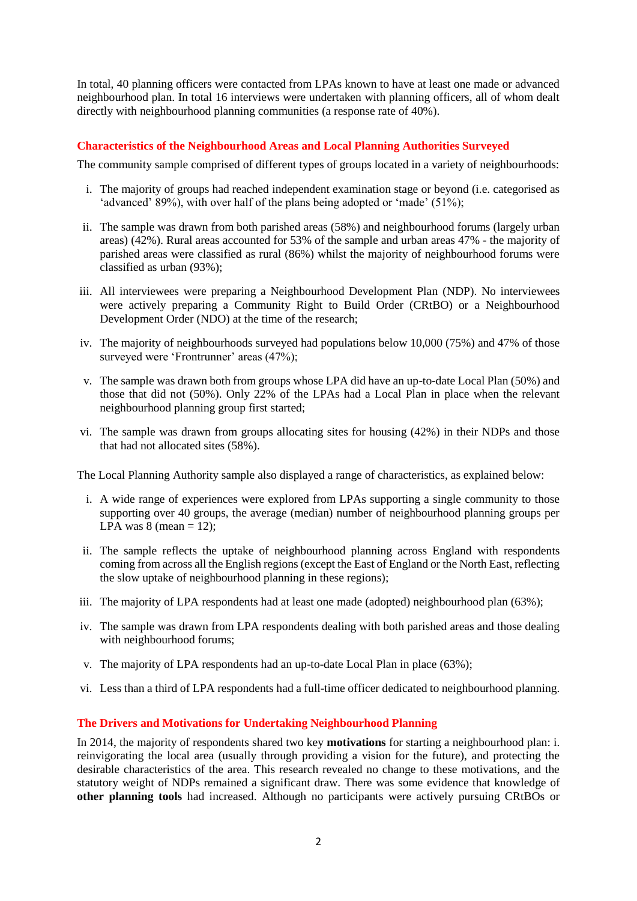In total, 40 planning officers were contacted from LPAs known to have at least one made or advanced neighbourhood plan. In total 16 interviews were undertaken with planning officers, all of whom dealt directly with neighbourhood planning communities (a response rate of 40%).

## **Characteristics of the Neighbourhood Areas and Local Planning Authorities Surveyed**

The community sample comprised of different types of groups located in a variety of neighbourhoods:

- i. The majority of groups had reached independent examination stage or beyond (i.e. categorised as 'advanced' 89%), with over half of the plans being adopted or 'made' (51%);
- ii. The sample was drawn from both parished areas (58%) and neighbourhood forums (largely urban areas) (42%). Rural areas accounted for 53% of the sample and urban areas 47% - the majority of parished areas were classified as rural (86%) whilst the majority of neighbourhood forums were classified as urban (93%);
- iii. All interviewees were preparing a Neighbourhood Development Plan (NDP). No interviewees were actively preparing a Community Right to Build Order (CRtBO) or a Neighbourhood Development Order (NDO) at the time of the research;
- iv. The majority of neighbourhoods surveyed had populations below 10,000 (75%) and 47% of those surveyed were 'Frontrunner' areas (47%);
- v. The sample was drawn both from groups whose LPA did have an up-to-date Local Plan (50%) and those that did not (50%). Only 22% of the LPAs had a Local Plan in place when the relevant neighbourhood planning group first started;
- vi. The sample was drawn from groups allocating sites for housing (42%) in their NDPs and those that had not allocated sites (58%).

The Local Planning Authority sample also displayed a range of characteristics, as explained below:

- i. A wide range of experiences were explored from LPAs supporting a single community to those supporting over 40 groups, the average (median) number of neighbourhood planning groups per LPA was  $8 \text{ (mean = 12)}$ ;
- ii. The sample reflects the uptake of neighbourhood planning across England with respondents coming from across all the English regions (except the East of England or the North East, reflecting the slow uptake of neighbourhood planning in these regions);
- iii. The majority of LPA respondents had at least one made (adopted) neighbourhood plan (63%);
- iv. The sample was drawn from LPA respondents dealing with both parished areas and those dealing with neighbourhood forums;
- v. The majority of LPA respondents had an up-to-date Local Plan in place (63%);
- vi. Less than a third of LPA respondents had a full-time officer dedicated to neighbourhood planning.

### **The Drivers and Motivations for Undertaking Neighbourhood Planning**

In 2014, the majority of respondents shared two key **motivations** for starting a neighbourhood plan: i. reinvigorating the local area (usually through providing a vision for the future), and protecting the desirable characteristics of the area. This research revealed no change to these motivations, and the statutory weight of NDPs remained a significant draw. There was some evidence that knowledge of **other planning tools** had increased. Although no participants were actively pursuing CRtBOs or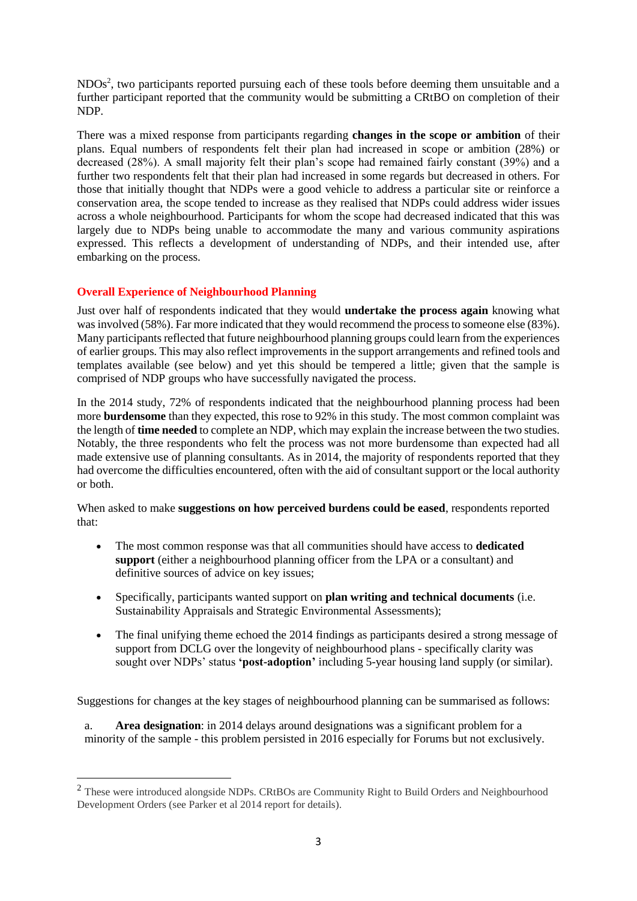NDOs<sup>2</sup>, two participants reported pursuing each of these tools before deeming them unsuitable and a further participant reported that the community would be submitting a CRtBO on completion of their NDP.

There was a mixed response from participants regarding **changes in the scope or ambition** of their plans. Equal numbers of respondents felt their plan had increased in scope or ambition (28%) or decreased (28%). A small majority felt their plan's scope had remained fairly constant (39%) and a further two respondents felt that their plan had increased in some regards but decreased in others. For those that initially thought that NDPs were a good vehicle to address a particular site or reinforce a conservation area, the scope tended to increase as they realised that NDPs could address wider issues across a whole neighbourhood. Participants for whom the scope had decreased indicated that this was largely due to NDPs being unable to accommodate the many and various community aspirations expressed. This reflects a development of understanding of NDPs, and their intended use, after embarking on the process.

# **Overall Experience of Neighbourhood Planning**

1

Just over half of respondents indicated that they would **undertake the process again** knowing what was involved (58%). Far more indicated that they would recommend the process to someone else (83%). Many participants reflected that future neighbourhood planning groups could learn from the experiences of earlier groups. This may also reflect improvements in the support arrangements and refined tools and templates available (see below) and yet this should be tempered a little; given that the sample is comprised of NDP groups who have successfully navigated the process.

In the 2014 study, 72% of respondents indicated that the neighbourhood planning process had been more **burdensome** than they expected, this rose to 92% in this study. The most common complaint was the length of **time needed** to complete an NDP, which may explain the increase between the two studies. Notably, the three respondents who felt the process was not more burdensome than expected had all made extensive use of planning consultants. As in 2014, the majority of respondents reported that they had overcome the difficulties encountered, often with the aid of consultant support or the local authority or both.

When asked to make **suggestions on how perceived burdens could be eased**, respondents reported that:

- The most common response was that all communities should have access to **dedicated support** (either a neighbourhood planning officer from the LPA or a consultant) and definitive sources of advice on key issues;
- Specifically, participants wanted support on **plan writing and technical documents** (i.e. Sustainability Appraisals and Strategic Environmental Assessments);
- The final unifying theme echoed the 2014 findings as participants desired a strong message of support from DCLG over the longevity of neighbourhood plans - specifically clarity was sought over NDPs' status **'post-adoption'** including 5-year housing land supply (or similar).

Suggestions for changes at the key stages of neighbourhood planning can be summarised as follows:

a. **Area designation**: in 2014 delays around designations was a significant problem for a minority of the sample - this problem persisted in 2016 especially for Forums but not exclusively.

<sup>&</sup>lt;sup>2</sup> These were introduced alongside NDPs. CRtBOs are Community Right to Build Orders and Neighbourhood Development Orders (see Parker et al 2014 report for details).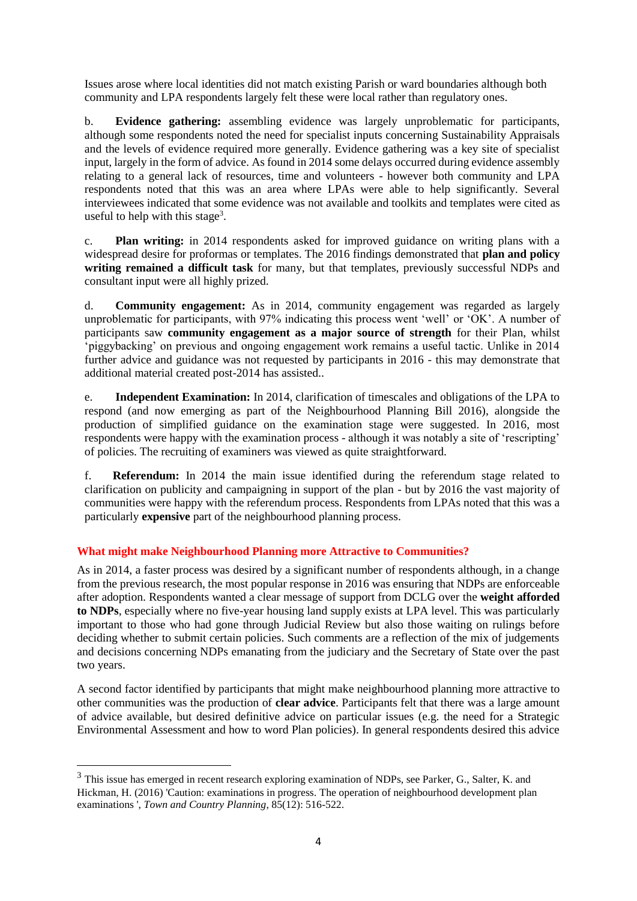Issues arose where local identities did not match existing Parish or ward boundaries although both community and LPA respondents largely felt these were local rather than regulatory ones.

b. **Evidence gathering:** assembling evidence was largely unproblematic for participants, although some respondents noted the need for specialist inputs concerning Sustainability Appraisals and the levels of evidence required more generally. Evidence gathering was a key site of specialist input, largely in the form of advice. As found in 2014 some delays occurred during evidence assembly relating to a general lack of resources, time and volunteers - however both community and LPA respondents noted that this was an area where LPAs were able to help significantly. Several interviewees indicated that some evidence was not available and toolkits and templates were cited as useful to help with this stage<sup>3</sup>.

c. **Plan writing:** in 2014 respondents asked for improved guidance on writing plans with a widespread desire for proformas or templates. The 2016 findings demonstrated that **plan and policy writing remained a difficult task** for many, but that templates, previously successful NDPs and consultant input were all highly prized.

d. **Community engagement:** As in 2014, community engagement was regarded as largely unproblematic for participants, with 97% indicating this process went 'well' or 'OK'. A number of participants saw **community engagement as a major source of strength** for their Plan, whilst 'piggybacking' on previous and ongoing engagement work remains a useful tactic. Unlike in 2014 further advice and guidance was not requested by participants in 2016 - this may demonstrate that additional material created post-2014 has assisted..

e. **Independent Examination:** In 2014, clarification of timescales and obligations of the LPA to respond (and now emerging as part of the Neighbourhood Planning Bill 2016), alongside the production of simplified guidance on the examination stage were suggested. In 2016, most respondents were happy with the examination process - although it was notably a site of 'rescripting' of policies. The recruiting of examiners was viewed as quite straightforward.

f. **Referendum:** In 2014 the main issue identified during the referendum stage related to clarification on publicity and campaigning in support of the plan - but by 2016 the vast majority of communities were happy with the referendum process. Respondents from LPAs noted that this was a particularly **expensive** part of the neighbourhood planning process.

# **What might make Neighbourhood Planning more Attractive to Communities?**

As in 2014, a faster process was desired by a significant number of respondents although, in a change from the previous research, the most popular response in 2016 was ensuring that NDPs are enforceable after adoption. Respondents wanted a clear message of support from DCLG over the **weight afforded to NDPs**, especially where no five-year housing land supply exists at LPA level. This was particularly important to those who had gone through Judicial Review but also those waiting on rulings before deciding whether to submit certain policies. Such comments are a reflection of the mix of judgements and decisions concerning NDPs emanating from the judiciary and the Secretary of State over the past two years.

A second factor identified by participants that might make neighbourhood planning more attractive to other communities was the production of **clear advice**. Participants felt that there was a large amount of advice available, but desired definitive advice on particular issues (e.g. the need for a Strategic Environmental Assessment and how to word Plan policies). In general respondents desired this advice

**.** 

<sup>&</sup>lt;sup>3</sup> This issue has emerged in recent research exploring examination of NDPs, see Parker, G., Salter, K. and Hickman, H. (2016) 'Caution: examinations in progress. The operation of neighbourhood development plan examinations ', *Town and Country Planning*, 85(12): 516-522.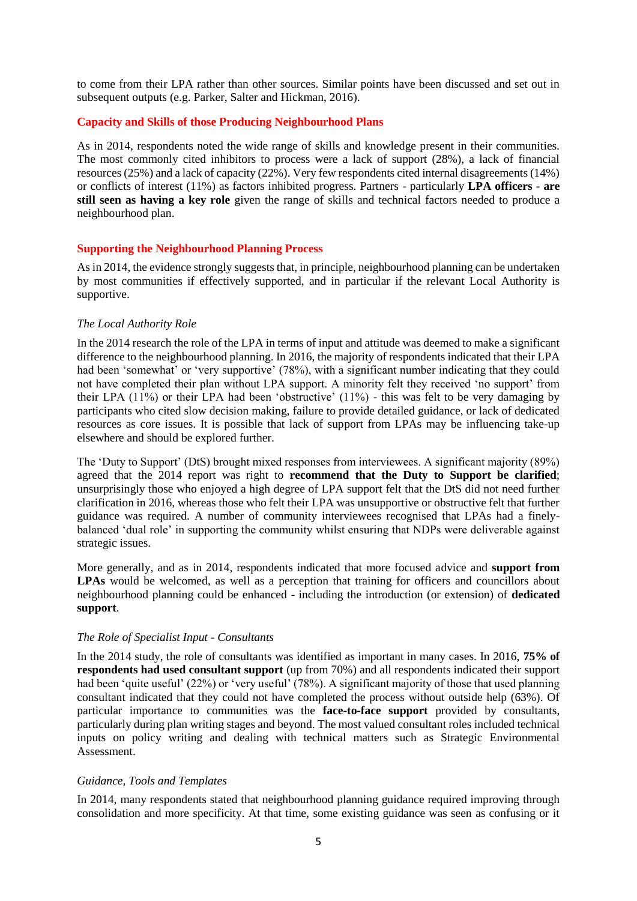to come from their LPA rather than other sources. Similar points have been discussed and set out in subsequent outputs (e.g. Parker, Salter and Hickman, 2016).

### **Capacity and Skills of those Producing Neighbourhood Plans**

As in 2014, respondents noted the wide range of skills and knowledge present in their communities. The most commonly cited inhibitors to process were a lack of support (28%), a lack of financial resources (25%) and a lack of capacity (22%). Very few respondents cited internal disagreements (14%) or conflicts of interest (11%) as factors inhibited progress. Partners - particularly **LPA officers - are still seen as having a key role** given the range of skills and technical factors needed to produce a neighbourhood plan.

#### **Supporting the Neighbourhood Planning Process**

As in 2014, the evidence strongly suggests that, in principle, neighbourhood planning can be undertaken by most communities if effectively supported, and in particular if the relevant Local Authority is supportive.

#### *The Local Authority Role*

In the 2014 research the role of the LPA in terms of input and attitude was deemed to make a significant difference to the neighbourhood planning. In 2016, the majority of respondents indicated that their LPA had been 'somewhat' or 'very supportive' (78%), with a significant number indicating that they could not have completed their plan without LPA support. A minority felt they received 'no support' from their LPA (11%) or their LPA had been 'obstructive' (11%) - this was felt to be very damaging by participants who cited slow decision making, failure to provide detailed guidance, or lack of dedicated resources as core issues. It is possible that lack of support from LPAs may be influencing take-up elsewhere and should be explored further.

The 'Duty to Support' (DtS) brought mixed responses from interviewees. A significant majority (89%) agreed that the 2014 report was right to **recommend that the Duty to Support be clarified**; unsurprisingly those who enjoyed a high degree of LPA support felt that the DtS did not need further clarification in 2016, whereas those who felt their LPA was unsupportive or obstructive felt that further guidance was required. A number of community interviewees recognised that LPAs had a finelybalanced 'dual role' in supporting the community whilst ensuring that NDPs were deliverable against strategic issues.

More generally, and as in 2014, respondents indicated that more focused advice and **support from**  LPAs would be welcomed, as well as a perception that training for officers and councillors about neighbourhood planning could be enhanced - including the introduction (or extension) of **dedicated support**.

#### *The Role of Specialist Input - Consultants*

In the 2014 study, the role of consultants was identified as important in many cases. In 2016, **75% of respondents had used consultant support** (up from 70%) and all respondents indicated their support had been 'quite useful' (22%) or 'very useful' (78%). A significant majority of those that used planning consultant indicated that they could not have completed the process without outside help (63%). Of particular importance to communities was the **face-to-face support** provided by consultants, particularly during plan writing stages and beyond. The most valued consultant roles included technical inputs on policy writing and dealing with technical matters such as Strategic Environmental Assessment.

### *Guidance, Tools and Templates*

In 2014, many respondents stated that neighbourhood planning guidance required improving through consolidation and more specificity. At that time, some existing guidance was seen as confusing or it